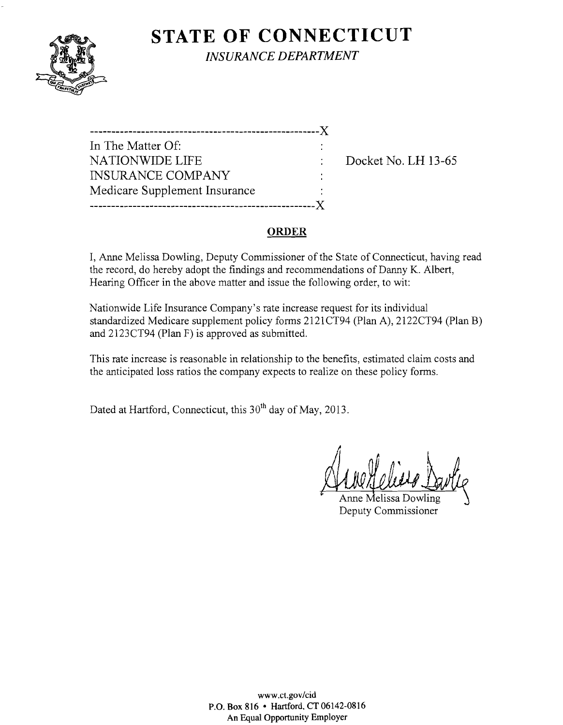# **STATE OF CONNECTICUT**



*INSURANCE DEPARTMENT* 

| In The Matter Of:             |  |
|-------------------------------|--|
| NATIONWIDE LIFE               |  |
| <b>INSURANCE COMPANY</b>      |  |
| Medicare Supplement Insurance |  |
| ---------------               |  |
|                               |  |

Docket No. LH 13-65

### **ORDER**

I, Anne Melissa Dowling, Deputy Commissioner of the State of Connecticut, having read the record, do hereby adopt the findings and recommendations of Danny K. Albert, Hearing Officer in the above matter and issue the following order, to wit:

Nationwide Life Insurance Company's rate increase request for its individual standardized Medicare supplement policy forms 2121CT94 (Plan A), 2122CT94 (Plan B) and 2123CT94 (Plan F) is approved as submitted.

This rate increase is reasonable in relationship to the benefits, estimated claim costs and the anticipated loss ratios the company expects to realize on these policy forms.

Dated at Hartford, Connecticut, this 30<sup>th</sup> day of May, 2013.

Anne Melissa Dowling Deputy Commissioner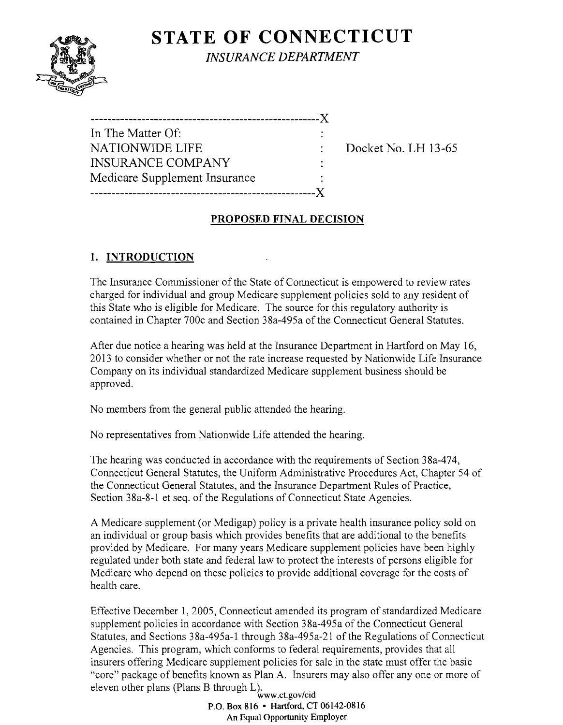# **STATE OF CONNECTICUT**



*INSURANCE DEPARTMENT* 

------------------------------------------------------J( In The Matter Of: NATIONWIDE LIFE  $\qquad \qquad : \qquad$  Docket No. LH 13-65 INSURANCE COMPANY Medicare Supplement Insurance -----------------------------------------------------J(

# **PROPOSED FINAL DECISION**

# **1. INTRODUCTION**

The Insurance Commissioner of the State of Connecticut is empowered to review rates charged for individual and group Medicare supplement policies sold to any resident of this State who is eligible for Medicare. The source for this regulatory authority is contained in Chapter 700c and Section 38a-495a of the Connecticut General Statutes.

After due notice a hearing was held at the Insurance Department in Hartford on May 16, 2013 to consider whether or not the rate increase requested by Nationwide Life Insurance Company on its individual standardized Medicare supplement business should be approved.

No members from the general public attended the hearing.

No representatives from Nationwide Life attended the hearing.

The hearing was conducted in accordance with the requirements of Section 38a-474, Connecticut General Statutes, the Uniform Administrative Procedures Act, Chapter 54 of the Connecticut General Statutes, and the Insurance Department Rules of Practice, Section 38a-8-1 et seq. of the Regulations of Connecticut State Agencies.

A Medicare supplement (or Medigap) policy is a private health insurance policy sold on an individual or group basis which provides benefits that are additional to the benefits provided by Medicare. For many years Medicare supplement policies have been highly regulated under both state and federal law to protect the interests of persons eligible for Medicare who depend on these policies to provide additional coverage for the costs of health care.

Effective December 1, 2005, Connecticut amended its program of standardized Medicare supplement policies in accordance with Section 38a-495a of the Connecticut General Statutes, and Sections 38a-495a-l through 38a-495a-21 of the Regulations of Connecticut Agencies. This program, which conforms to federal requirements, provides that all insurers offering Medicare supplement policies for sale in the state must offer the basic "core" package of benefits known as Plan A. Insurers may also offer anyone or more of eleven other plans (Plans B through L).<br>www.ct.gov/cid

P.O. Box 816 • Hartford, CT 06142-0816 An Equal Opportunity Employer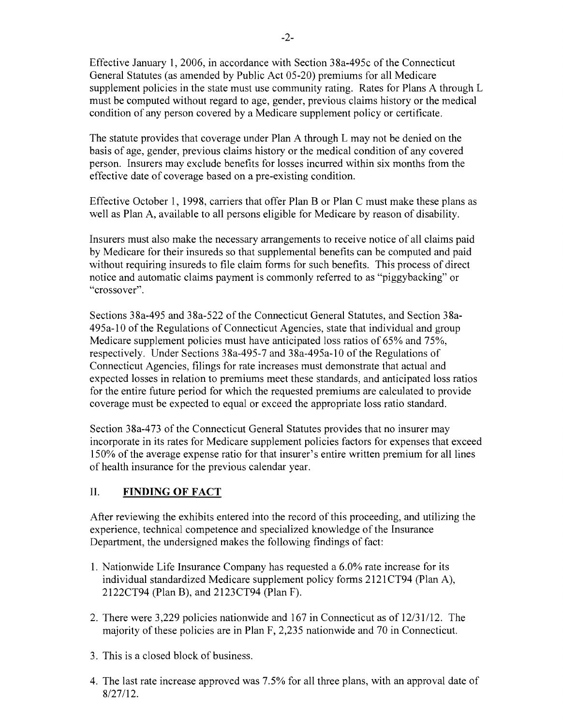Effective January 1,2006, in accordance with Section 38a-495c of the Connecticut General Statutes (as amended by Public Act 05-20) premiums for all Medicare supplement policies in the state must use community rating. Rates for Plans A through L must be computed without regard to age, gender, previous claims history or the medical condition of any person covered by a Medicare supplement policy or certificate.

The statute provides that coverage under Plan A through L may not be denied on the basis of age, gender, previous claims history or the medical condition of any covered person. Insurers may exclude benefits for losses incurred within six months from the effective date of coverage based on a pre-existing condition.

Effective October 1, 1998, carriers that offer Plan B or Plan C must make these plans as well as Plan A, available to all persons eligible for Medicare by reason of disability.

Insurers must also make the necessary arrangements to receive notice of all claims paid by Medicare for their insureds so that supplemental benefits can be computed and paid without requiring insureds to file claim forms for such benefits. This process of direct notice and automatic claims payment is commonly referred to as "piggybacking" or "crossover".

Sections 38a-495 and 38a-522 of the Connecticut General Statutes, and Section 38a-495a-l0 of the Regulations of Connecticut Agencies, state that individual and group Medicare supplement policies must have anticipated loss ratios of 65% and 75%, respectively. Under Sections 38a-495-7 and 38a-495a-l0 of the Regulations of Connecticut Agencies, filings for rate increases must demonstrate that actual and expected losses in relation to premiums meet these standards, and anticipated loss ratios for the entire future period for which the requested premiums are calculated to provide coverage must be expected to equal or exceed the appropriate loss ratio standard.

Section 38a-473 of the Connecticut General Statutes provides that no insurer may incorporate in its rates for Medicare supplement policies factors for expenses that exceed 150% of the average expense ratio for that insurer's entire written premium for all lines of health insurance for the previous calendar year.

#### II. **FINDING OF FACT**

After reviewing the exhibits entered into the record of this proceeding, and utilizing the experience, technical competence and specialized knowledge of the Insurance Department, the undersigned makes the following findings of fact:

- 1. Nationwide Life Insurance Company has requested a 6.0% rate increase for its individual standardized Medicare supplement policy forms 2121 CT94 (Plan A), 2122CT94 (Plan B), and 2123CT94 (Plan F).
- 2. There were 3,229 policies nationwide and 167 in Connecticut as of 12/31/12. The majority of these policies are in Plan F, 2,235 nationwide and 70 in Connecticut.
- 3. This is a closed block of business.
- 4. The last rate increase approved was 7.5% for all three plans, with an approval date of 8/27/12.